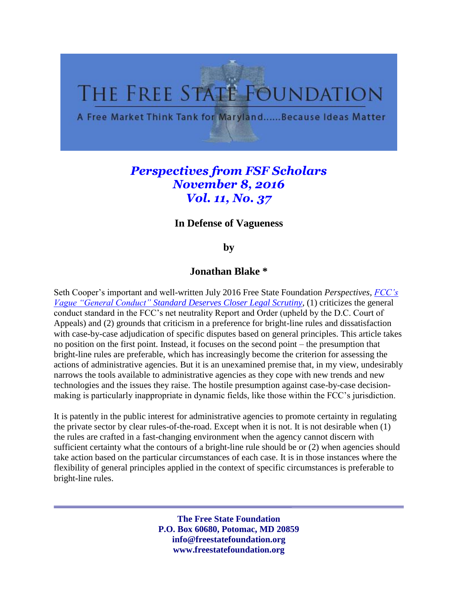# THE FREE STATE FOUNDATION

A Free Market Think Tank for Maryland......Because Ideas Matter

# *Perspectives from FSF Scholars November 8, 2016 Vol. 11, No. 37*

## **In Defense of Vagueness**

### **by**

#### **Jonathan Blake \***

Seth Cooper's important and well-written July 2016 Free State Foundation *Perspectives*, *[FCC's](http://www.freestatefoundation.org/images/FCC_s_Vague_General_Conduct_Standard_Deserves_Closer_Legal_Scrutiny_070616.pdf)  [Vague "General Conduct" Standard Deserves Closer Legal Scrutiny,](http://www.freestatefoundation.org/images/FCC_s_Vague_General_Conduct_Standard_Deserves_Closer_Legal_Scrutiny_070616.pdf)* (1) criticizes the general conduct standard in the FCC's net neutrality Report and Order (upheld by the D.C. Court of Appeals) and (2) grounds that criticism in a preference for bright-line rules and dissatisfaction with case-by-case adjudication of specific disputes based on general principles. This article takes no position on the first point. Instead, it focuses on the second point – the presumption that bright-line rules are preferable, which has increasingly become the criterion for assessing the actions of administrative agencies. But it is an unexamined premise that, in my view, undesirably narrows the tools available to administrative agencies as they cope with new trends and new technologies and the issues they raise. The hostile presumption against case-by-case decisionmaking is particularly inappropriate in dynamic fields, like those within the FCC's jurisdiction.

It is patently in the public interest for administrative agencies to promote certainty in regulating the private sector by clear rules-of-the-road. Except when it is not. It is not desirable when (1) the rules are crafted in a fast-changing environment when the agency cannot discern with sufficient certainty what the contours of a bright-line rule should be or (2) when agencies should take action based on the particular circumstances of each case. It is in those instances where the flexibility of general principles applied in the context of specific circumstances is preferable to bright-line rules.

> **The Free State Foundation P.O. Box 60680, Potomac, MD 20859 info@freestatefoundation.org www.freestatefoundation.org**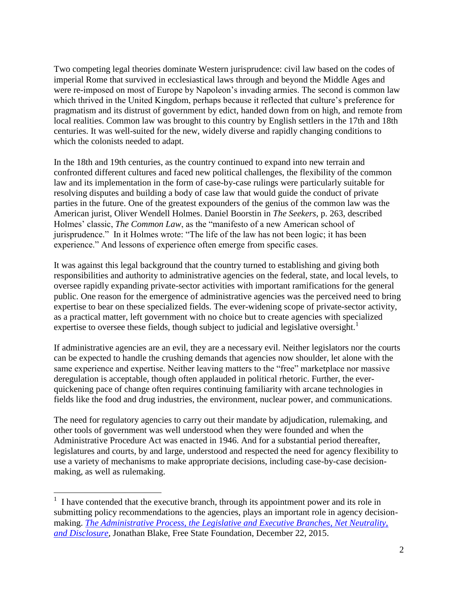Two competing legal theories dominate Western jurisprudence: civil law based on the codes of imperial Rome that survived in ecclesiastical laws through and beyond the Middle Ages and were re-imposed on most of Europe by Napoleon's invading armies. The second is common law which thrived in the United Kingdom, perhaps because it reflected that culture's preference for pragmatism and its distrust of government by edict, handed down from on high, and remote from local realities. Common law was brought to this country by English settlers in the 17th and 18th centuries. It was well-suited for the new, widely diverse and rapidly changing conditions to which the colonists needed to adapt.

In the 18th and 19th centuries, as the country continued to expand into new terrain and confronted different cultures and faced new political challenges, the flexibility of the common law and its implementation in the form of case-by-case rulings were particularly suitable for resolving disputes and building a body of case law that would guide the conduct of private parties in the future. One of the greatest expounders of the genius of the common law was the American jurist, Oliver Wendell Holmes. Daniel Boorstin in *The Seekers*, p. 263, described Holmes' classic, *The Common Law*, as the "manifesto of a new American school of jurisprudence." In it Holmes wrote: "The life of the law has not been logic; it has been experience." And lessons of experience often emerge from specific cases.

It was against this legal background that the country turned to establishing and giving both responsibilities and authority to administrative agencies on the federal, state, and local levels, to oversee rapidly expanding private-sector activities with important ramifications for the general public. One reason for the emergence of administrative agencies was the perceived need to bring expertise to bear on these specialized fields. The ever-widening scope of private-sector activity, as a practical matter, left government with no choice but to create agencies with specialized expertise to oversee these fields, though subject to judicial and legislative oversight.<sup>1</sup>

If administrative agencies are an evil, they are a necessary evil. Neither legislators nor the courts can be expected to handle the crushing demands that agencies now shoulder, let alone with the same experience and expertise. Neither leaving matters to the "free" marketplace nor massive deregulation is acceptable, though often applauded in political rhetoric. Further, the everquickening pace of change often requires continuing familiarity with arcane technologies in fields like the food and drug industries, the environment, nuclear power, and communications.

The need for regulatory agencies to carry out their mandate by adjudication, rulemaking, and other tools of government was well understood when they were founded and when the Administrative Procedure Act was enacted in 1946. And for a substantial period thereafter, legislatures and courts, by and large, understood and respected the need for agency flexibility to use a variety of mechanisms to make appropriate decisions, including case-by-case decisionmaking, as well as rulemaking.

 $\overline{a}$ 

 $<sup>1</sup>$  I have contended that the executive branch, through its appointment power and its role in</sup> submitting policy recommendations to the agencies, plays an important role in agency decisionmaking. *[The Administrative Process, the Legislative and Executive Branches, Net Neutrality,](http://www.freestatefoundation.org/images/The_Administrative_Process,_the_Legislative_and_Executive_Branches,_Net_Neutrality,_and_Disclosure_122115.pdf)  [and Disclosure,](http://www.freestatefoundation.org/images/The_Administrative_Process,_the_Legislative_and_Executive_Branches,_Net_Neutrality,_and_Disclosure_122115.pdf)* Jonathan Blake, Free State Foundation, December 22, 2015.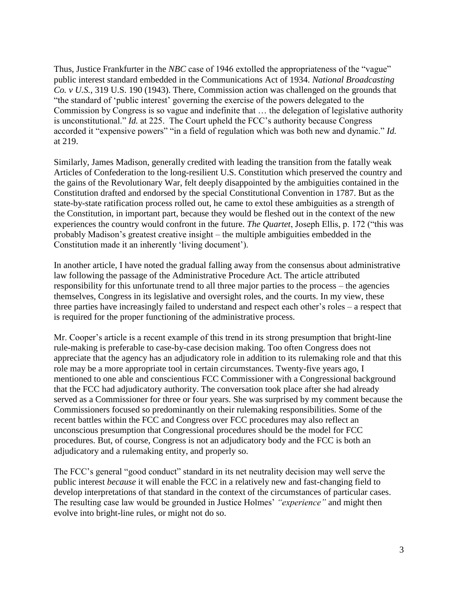Thus, Justice Frankfurter in the *NBC* case of 1946 extolled the appropriateness of the "vague" public interest standard embedded in the Communications Act of 1934. *National Broadcasting Co. v U.S.*, 319 U.S. 190 (1943). There, Commission action was challenged on the grounds that "the standard of 'public interest' governing the exercise of the powers delegated to the Commission by Congress is so vague and indefinite that … the delegation of legislative authority is unconstitutional." *Id.* at 225. The Court upheld the FCC's authority because Congress accorded it "expensive powers" "in a field of regulation which was both new and dynamic." *Id.*  at 219.

Similarly, James Madison, generally credited with leading the transition from the fatally weak Articles of Confederation to the long-resilient U.S. Constitution which preserved the country and the gains of the Revolutionary War, felt deeply disappointed by the ambiguities contained in the Constitution drafted and endorsed by the special Constitutional Convention in 1787. But as the state-by-state ratification process rolled out, he came to extol these ambiguities as a strength of the Constitution, in important part, because they would be fleshed out in the context of the new experiences the country would confront in the future. *The Quartet*, Joseph Ellis, p. 172 ("this was probably Madison's greatest creative insight – the multiple ambiguities embedded in the Constitution made it an inherently 'living document').

In another article, I have noted the gradual falling away from the consensus about administrative law following the passage of the Administrative Procedure Act. The article attributed responsibility for this unfortunate trend to all three major parties to the process – the agencies themselves, Congress in its legislative and oversight roles, and the courts. In my view, these three parties have increasingly failed to understand and respect each other's roles – a respect that is required for the proper functioning of the administrative process.

Mr. Cooper's article is a recent example of this trend in its strong presumption that bright-line rule-making is preferable to case-by-case decision making. Too often Congress does not appreciate that the agency has an adjudicatory role in addition to its rulemaking role and that this role may be a more appropriate tool in certain circumstances. Twenty-five years ago, I mentioned to one able and conscientious FCC Commissioner with a Congressional background that the FCC had adjudicatory authority. The conversation took place after she had already served as a Commissioner for three or four years. She was surprised by my comment because the Commissioners focused so predominantly on their rulemaking responsibilities. Some of the recent battles within the FCC and Congress over FCC procedures may also reflect an unconscious presumption that Congressional procedures should be the model for FCC procedures. But, of course, Congress is not an adjudicatory body and the FCC is both an adjudicatory and a rulemaking entity, and properly so.

The FCC's general "good conduct" standard in its net neutrality decision may well serve the public interest *because* it will enable the FCC in a relatively new and fast-changing field to develop interpretations of that standard in the context of the circumstances of particular cases. The resulting case law would be grounded in Justice Holmes' *"experience"* and might then evolve into bright-line rules, or might not do so.